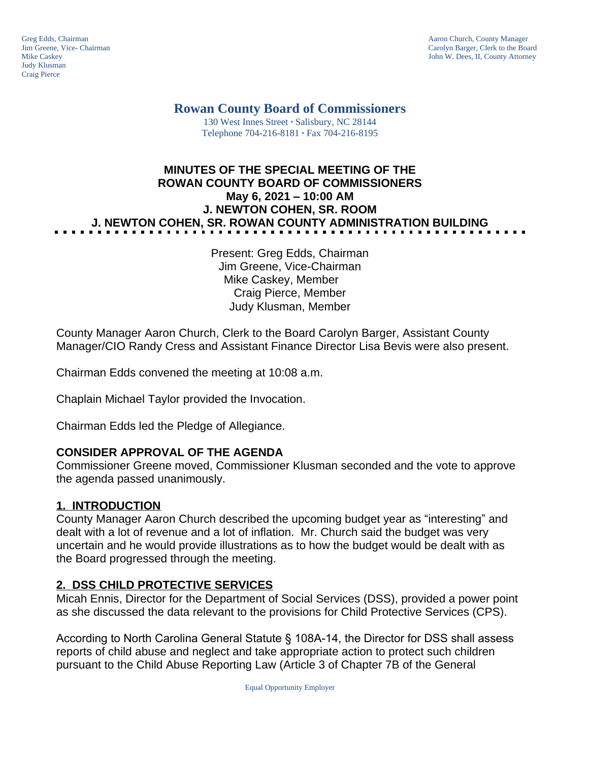Judy Klusman Craig Pierce

Greg Edds, Chairman Aaron Church, County Manager<br>
Jim Greene, Vice- Chairman Aaron Church, County Manager<br>
Aaron Church, County Manager Clerk to the Boa Jim Greene, Vice- Chairman Carolyn Barger, Clerk to the Board John W. Dees, II, County Attorney

> **Rowan County Board of Commissioners** 130 West Innes Street **∙** Salisbury, NC 28144

Telephone 704-216-8181 **∙** Fax 704-216-8195

# **MINUTES OF THE SPECIAL MEETING OF THE ROWAN COUNTY BOARD OF COMMISSIONERS May 6, 2021 – 10:00 AM J. NEWTON COHEN, SR. ROOM J. NEWTON COHEN, SR. ROWAN COUNTY ADMINISTRATION BUILDING**

Present: Greg Edds, Chairman Jim Greene, Vice-Chairman Mike Caskey, Member Craig Pierce, Member Judy Klusman, Member

County Manager Aaron Church, Clerk to the Board Carolyn Barger, Assistant County Manager/CIO Randy Cress and Assistant Finance Director Lisa Bevis were also present.

Chairman Edds convened the meeting at 10:08 a.m.

Chaplain Michael Taylor provided the Invocation.

Chairman Edds led the Pledge of Allegiance.

### **CONSIDER APPROVAL OF THE AGENDA**

Commissioner Greene moved, Commissioner Klusman seconded and the vote to approve the agenda passed unanimously.

### **1. INTRODUCTION**

County Manager Aaron Church described the upcoming budget year as "interesting" and dealt with a lot of revenue and a lot of inflation. Mr. Church said the budget was very uncertain and he would provide illustrations as to how the budget would be dealt with as the Board progressed through the meeting.

### **2. DSS CHILD PROTECTIVE SERVICES**

Micah Ennis, Director for the Department of Social Services (DSS), provided a power point as she discussed the data relevant to the provisions for Child Protective Services (CPS).

According to North Carolina General Statute § 108A-14, the Director for DSS shall assess reports of child abuse and neglect and take appropriate action to protect such children pursuant to the Child Abuse Reporting Law (Article 3 of Chapter 7B of the General

Equal Opportunity Employer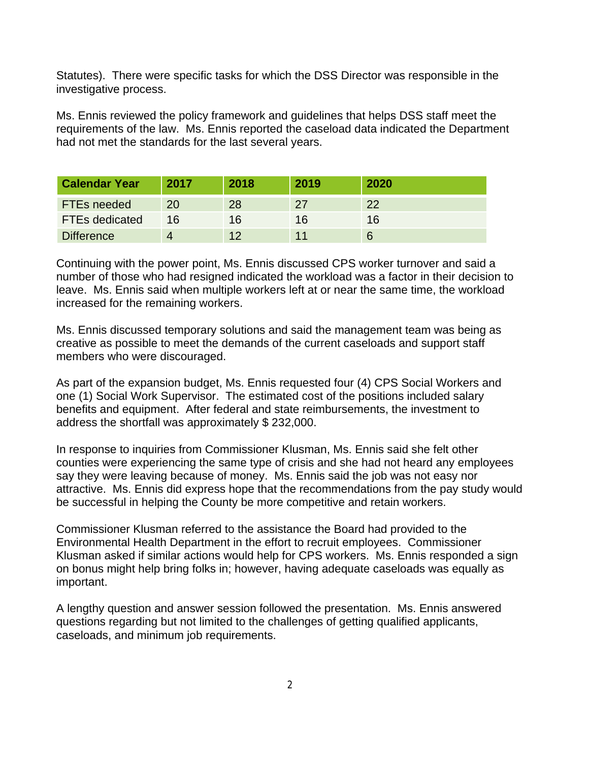Statutes). There were specific tasks for which the DSS Director was responsible in the investigative process.

Ms. Ennis reviewed the policy framework and guidelines that helps DSS staff meet the requirements of the law. Ms. Ennis reported the caseload data indicated the Department had not met the standards for the last several years.

| <b>Calendar Year</b>  | 2017 | 2018 | 2019 | 2020 |
|-----------------------|------|------|------|------|
| <b>FTEs needed</b>    | 20   | 28   | 27   | 22   |
| <b>FTEs dedicated</b> | 16   | 16   | 16   | 16   |
| <b>Difference</b>     |      | イク   |      |      |

Continuing with the power point, Ms. Ennis discussed CPS worker turnover and said a number of those who had resigned indicated the workload was a factor in their decision to leave. Ms. Ennis said when multiple workers left at or near the same time, the workload increased for the remaining workers.

Ms. Ennis discussed temporary solutions and said the management team was being as creative as possible to meet the demands of the current caseloads and support staff members who were discouraged.

As part of the expansion budget, Ms. Ennis requested four (4) CPS Social Workers and one (1) Social Work Supervisor. The estimated cost of the positions included salary benefits and equipment. After federal and state reimbursements, the investment to address the shortfall was approximately \$ 232,000.

In response to inquiries from Commissioner Klusman, Ms. Ennis said she felt other counties were experiencing the same type of crisis and she had not heard any employees say they were leaving because of money. Ms. Ennis said the job was not easy nor attractive. Ms. Ennis did express hope that the recommendations from the pay study would be successful in helping the County be more competitive and retain workers.

Commissioner Klusman referred to the assistance the Board had provided to the Environmental Health Department in the effort to recruit employees. Commissioner Klusman asked if similar actions would help for CPS workers. Ms. Ennis responded a sign on bonus might help bring folks in; however, having adequate caseloads was equally as important.

A lengthy question and answer session followed the presentation. Ms. Ennis answered questions regarding but not limited to the challenges of getting qualified applicants, caseloads, and minimum job requirements.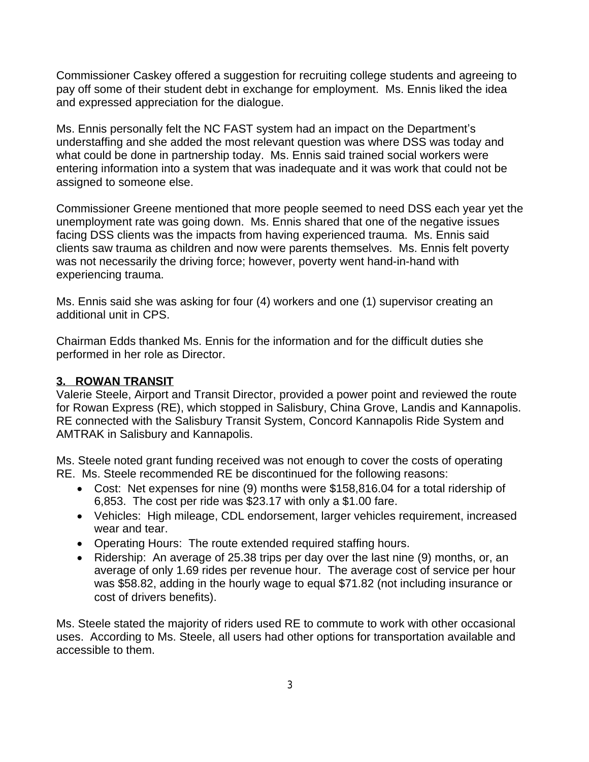Commissioner Caskey offered a suggestion for recruiting college students and agreeing to pay off some of their student debt in exchange for employment. Ms. Ennis liked the idea and expressed appreciation for the dialogue.

Ms. Ennis personally felt the NC FAST system had an impact on the Department's understaffing and she added the most relevant question was where DSS was today and what could be done in partnership today. Ms. Ennis said trained social workers were entering information into a system that was inadequate and it was work that could not be assigned to someone else.

Commissioner Greene mentioned that more people seemed to need DSS each year yet the unemployment rate was going down. Ms. Ennis shared that one of the negative issues facing DSS clients was the impacts from having experienced trauma. Ms. Ennis said clients saw trauma as children and now were parents themselves. Ms. Ennis felt poverty was not necessarily the driving force; however, poverty went hand-in-hand with experiencing trauma.

Ms. Ennis said she was asking for four (4) workers and one (1) supervisor creating an additional unit in CPS.

Chairman Edds thanked Ms. Ennis for the information and for the difficult duties she performed in her role as Director.

### **3. ROWAN TRANSIT**

Valerie Steele, Airport and Transit Director, provided a power point and reviewed the route for Rowan Express (RE), which stopped in Salisbury, China Grove, Landis and Kannapolis. RE connected with the Salisbury Transit System, Concord Kannapolis Ride System and AMTRAK in Salisbury and Kannapolis.

Ms. Steele noted grant funding received was not enough to cover the costs of operating RE. Ms. Steele recommended RE be discontinued for the following reasons:

- Cost: Net expenses for nine (9) months were \$158,816.04 for a total ridership of 6,853. The cost per ride was \$23.17 with only a \$1.00 fare.
- Vehicles: High mileage, CDL endorsement, larger vehicles requirement, increased wear and tear.
- Operating Hours: The route extended required staffing hours.
- Ridership: An average of 25.38 trips per day over the last nine (9) months, or, an average of only 1.69 rides per revenue hour. The average cost of service per hour was \$58.82, adding in the hourly wage to equal \$71.82 (not including insurance or cost of drivers benefits).

Ms. Steele stated the majority of riders used RE to commute to work with other occasional uses. According to Ms. Steele, all users had other options for transportation available and accessible to them.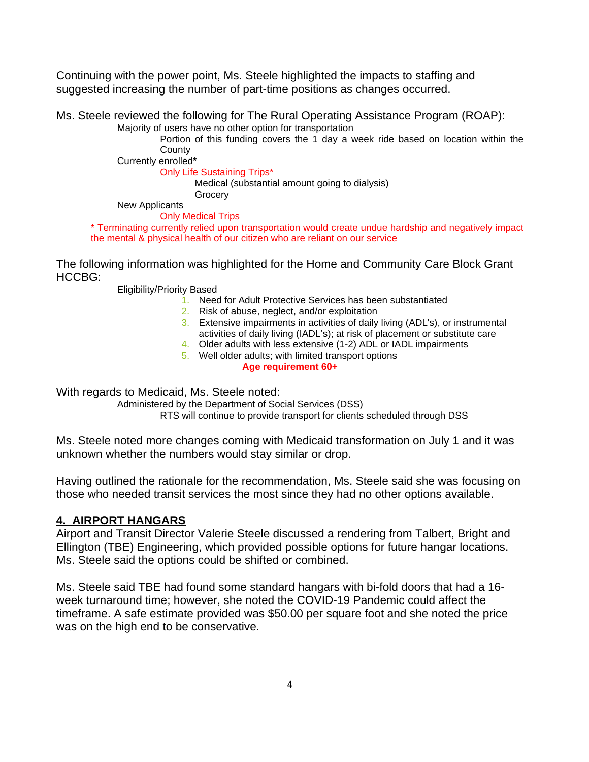Continuing with the power point, Ms. Steele highlighted the impacts to staffing and suggested increasing the number of part-time positions as changes occurred.

Ms. Steele reviewed the following for The Rural Operating Assistance Program (ROAP): Majority of users have no other option for transportation

Portion of this funding covers the 1 day a week ride based on location within the County

Currently enrolled\*

Only Life Sustaining Trips\*

Medical (substantial amount going to dialysis)

**Grocery** 

New Applicants

Only Medical Trips \* Terminating currently relied upon transportation would create undue hardship and negatively impact the mental & physical health of our citizen who are reliant on our service

The following information was highlighted for the Home and Community Care Block Grant HCCBG:

Eligibility/Priority Based

- 1. Need for Adult Protective Services has been substantiated
- 2. Risk of abuse, neglect, and/or exploitation
- 3. Extensive impairments in activities of daily living (ADL's), or instrumental activities of daily living (IADL's); at risk of placement or substitute care
- 4. Older adults with less extensive (1-2) ADL or IADL impairments
- 5. Well older adults; with limited transport options **Age requirement 60+**

With regards to Medicaid, Ms. Steele noted:

Administered by the Department of Social Services (DSS) RTS will continue to provide transport for clients scheduled through DSS

Ms. Steele noted more changes coming with Medicaid transformation on July 1 and it was unknown whether the numbers would stay similar or drop.

Having outlined the rationale for the recommendation, Ms. Steele said she was focusing on those who needed transit services the most since they had no other options available.

### **4. AIRPORT HANGARS**

Airport and Transit Director Valerie Steele discussed a rendering from Talbert, Bright and Ellington (TBE) Engineering, which provided possible options for future hangar locations. Ms. Steele said the options could be shifted or combined.

Ms. Steele said TBE had found some standard hangars with bi-fold doors that had a 16 week turnaround time; however, she noted the COVID-19 Pandemic could affect the timeframe. A safe estimate provided was \$50.00 per square foot and she noted the price was on the high end to be conservative.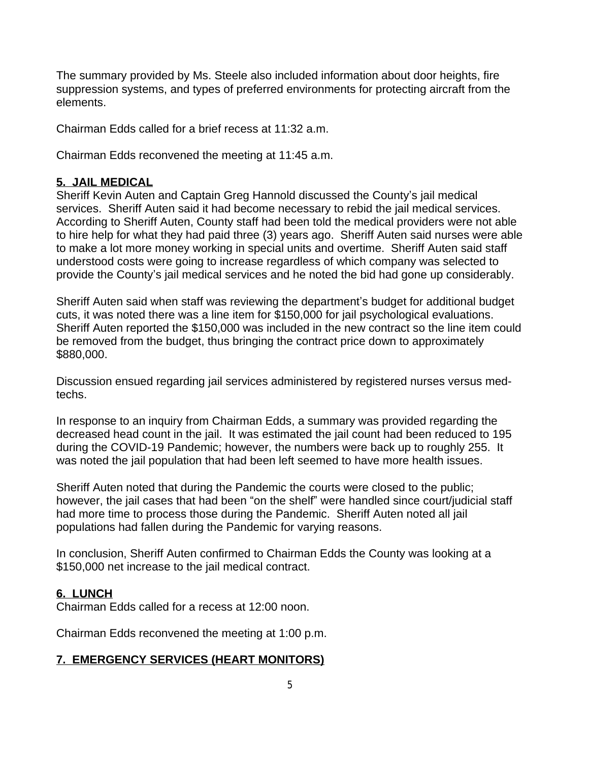The summary provided by Ms. Steele also included information about door heights, fire suppression systems, and types of preferred environments for protecting aircraft from the elements.

Chairman Edds called for a brief recess at 11:32 a.m.

Chairman Edds reconvened the meeting at 11:45 a.m.

#### **5. JAIL MEDICAL**

Sheriff Kevin Auten and Captain Greg Hannold discussed the County's jail medical services. Sheriff Auten said it had become necessary to rebid the jail medical services. According to Sheriff Auten, County staff had been told the medical providers were not able to hire help for what they had paid three (3) years ago. Sheriff Auten said nurses were able to make a lot more money working in special units and overtime. Sheriff Auten said staff understood costs were going to increase regardless of which company was selected to provide the County's jail medical services and he noted the bid had gone up considerably.

Sheriff Auten said when staff was reviewing the department's budget for additional budget cuts, it was noted there was a line item for \$150,000 for jail psychological evaluations. Sheriff Auten reported the \$150,000 was included in the new contract so the line item could be removed from the budget, thus bringing the contract price down to approximately \$880,000.

Discussion ensued regarding jail services administered by registered nurses versus medtechs.

In response to an inquiry from Chairman Edds, a summary was provided regarding the decreased head count in the jail. It was estimated the jail count had been reduced to 195 during the COVID-19 Pandemic; however, the numbers were back up to roughly 255. It was noted the jail population that had been left seemed to have more health issues.

Sheriff Auten noted that during the Pandemic the courts were closed to the public; however, the jail cases that had been "on the shelf" were handled since court/judicial staff had more time to process those during the Pandemic. Sheriff Auten noted all jail populations had fallen during the Pandemic for varying reasons.

In conclusion, Sheriff Auten confirmed to Chairman Edds the County was looking at a \$150,000 net increase to the jail medical contract.

### **6. LUNCH**

Chairman Edds called for a recess at 12:00 noon.

Chairman Edds reconvened the meeting at 1:00 p.m.

## **7. EMERGENCY SERVICES (HEART MONITORS)**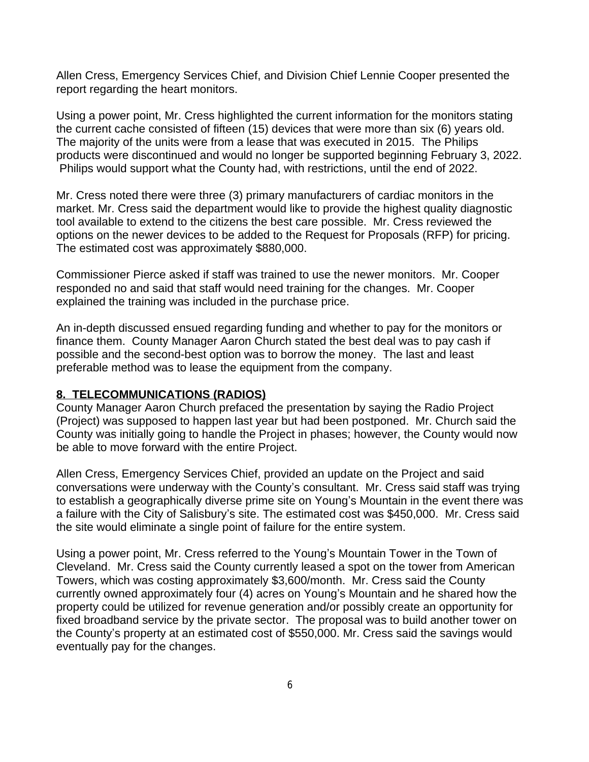Allen Cress, Emergency Services Chief, and Division Chief Lennie Cooper presented the report regarding the heart monitors.

Using a power point, Mr. Cress highlighted the current information for the monitors stating the current cache consisted of fifteen (15) devices that were more than six (6) years old. The majority of the units were from a lease that was executed in 2015. The Philips products were discontinued and would no longer be supported beginning February 3, 2022. Philips would support what the County had, with restrictions, until the end of 2022.

Mr. Cress noted there were three (3) primary manufacturers of cardiac monitors in the market. Mr. Cress said the department would like to provide the highest quality diagnostic tool available to extend to the citizens the best care possible. Mr. Cress reviewed the options on the newer devices to be added to the Request for Proposals (RFP) for pricing. The estimated cost was approximately \$880,000.

Commissioner Pierce asked if staff was trained to use the newer monitors. Mr. Cooper responded no and said that staff would need training for the changes. Mr. Cooper explained the training was included in the purchase price.

An in-depth discussed ensued regarding funding and whether to pay for the monitors or finance them. County Manager Aaron Church stated the best deal was to pay cash if possible and the second-best option was to borrow the money. The last and least preferable method was to lease the equipment from the company.

### **8. TELECOMMUNICATIONS (RADIOS)**

County Manager Aaron Church prefaced the presentation by saying the Radio Project (Project) was supposed to happen last year but had been postponed. Mr. Church said the County was initially going to handle the Project in phases; however, the County would now be able to move forward with the entire Project.

Allen Cress, Emergency Services Chief, provided an update on the Project and said conversations were underway with the County's consultant. Mr. Cress said staff was trying to establish a geographically diverse prime site on Young's Mountain in the event there was a failure with the City of Salisbury's site. The estimated cost was \$450,000. Mr. Cress said the site would eliminate a single point of failure for the entire system.

Using a power point, Mr. Cress referred to the Young's Mountain Tower in the Town of Cleveland. Mr. Cress said the County currently leased a spot on the tower from American Towers, which was costing approximately \$3,600/month. Mr. Cress said the County currently owned approximately four (4) acres on Young's Mountain and he shared how the property could be utilized for revenue generation and/or possibly create an opportunity for fixed broadband service by the private sector. The proposal was to build another tower on the County's property at an estimated cost of \$550,000. Mr. Cress said the savings would eventually pay for the changes.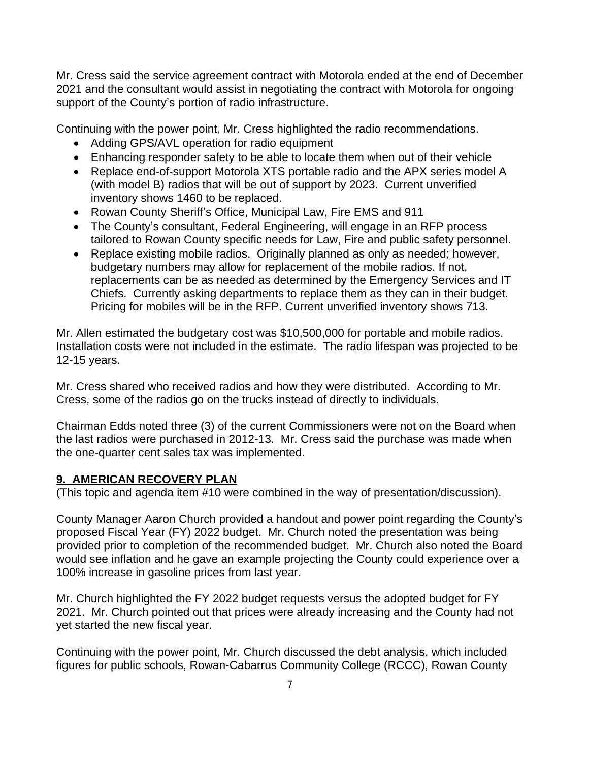Mr. Cress said the service agreement contract with Motorola ended at the end of December 2021 and the consultant would assist in negotiating the contract with Motorola for ongoing support of the County's portion of radio infrastructure.

Continuing with the power point, Mr. Cress highlighted the radio recommendations.

- Adding GPS/AVL operation for radio equipment
- Enhancing responder safety to be able to locate them when out of their vehicle
- Replace end-of-support Motorola XTS portable radio and the APX series model A (with model B) radios that will be out of support by 2023. Current unverified inventory shows 1460 to be replaced.
- Rowan County Sheriff's Office, Municipal Law, Fire EMS and 911
- The County's consultant, Federal Engineering, will engage in an RFP process tailored to Rowan County specific needs for Law, Fire and public safety personnel.
- Replace existing mobile radios. Originally planned as only as needed; however, budgetary numbers may allow for replacement of the mobile radios. If not, replacements can be as needed as determined by the Emergency Services and IT Chiefs. Currently asking departments to replace them as they can in their budget. Pricing for mobiles will be in the RFP. Current unverified inventory shows 713.

Mr. Allen estimated the budgetary cost was \$10,500,000 for portable and mobile radios. Installation costs were not included in the estimate. The radio lifespan was projected to be 12-15 years.

Mr. Cress shared who received radios and how they were distributed. According to Mr. Cress, some of the radios go on the trucks instead of directly to individuals.

Chairman Edds noted three (3) of the current Commissioners were not on the Board when the last radios were purchased in 2012-13. Mr. Cress said the purchase was made when the one-quarter cent sales tax was implemented.

### **9. AMERICAN RECOVERY PLAN**

(This topic and agenda item #10 were combined in the way of presentation/discussion).

County Manager Aaron Church provided a handout and power point regarding the County's proposed Fiscal Year (FY) 2022 budget. Mr. Church noted the presentation was being provided prior to completion of the recommended budget. Mr. Church also noted the Board would see inflation and he gave an example projecting the County could experience over a 100% increase in gasoline prices from last year.

Mr. Church highlighted the FY 2022 budget requests versus the adopted budget for FY 2021. Mr. Church pointed out that prices were already increasing and the County had not yet started the new fiscal year.

Continuing with the power point, Mr. Church discussed the debt analysis, which included figures for public schools, Rowan-Cabarrus Community College (RCCC), Rowan County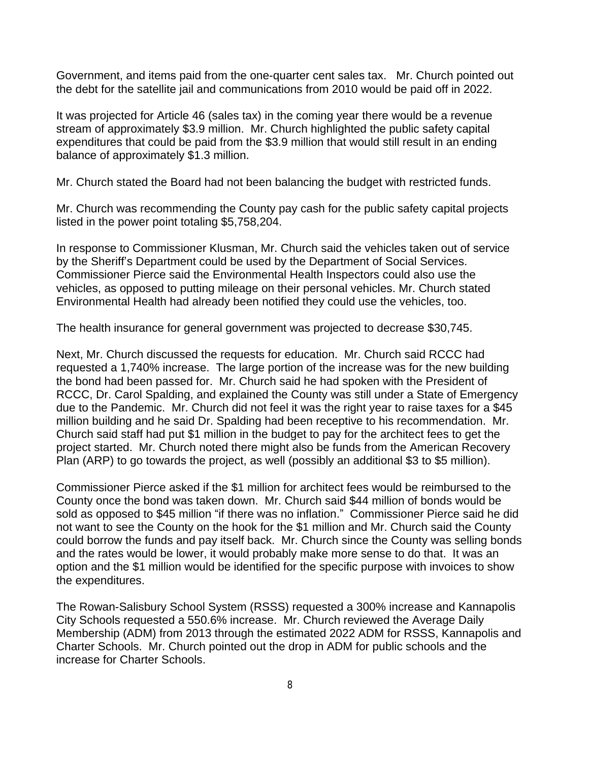Government, and items paid from the one-quarter cent sales tax. Mr. Church pointed out the debt for the satellite jail and communications from 2010 would be paid off in 2022.

It was projected for Article 46 (sales tax) in the coming year there would be a revenue stream of approximately \$3.9 million. Mr. Church highlighted the public safety capital expenditures that could be paid from the \$3.9 million that would still result in an ending balance of approximately \$1.3 million.

Mr. Church stated the Board had not been balancing the budget with restricted funds.

Mr. Church was recommending the County pay cash for the public safety capital projects listed in the power point totaling \$5,758,204.

In response to Commissioner Klusman, Mr. Church said the vehicles taken out of service by the Sheriff's Department could be used by the Department of Social Services. Commissioner Pierce said the Environmental Health Inspectors could also use the vehicles, as opposed to putting mileage on their personal vehicles. Mr. Church stated Environmental Health had already been notified they could use the vehicles, too.

The health insurance for general government was projected to decrease \$30,745.

Next, Mr. Church discussed the requests for education. Mr. Church said RCCC had requested a 1,740% increase. The large portion of the increase was for the new building the bond had been passed for. Mr. Church said he had spoken with the President of RCCC, Dr. Carol Spalding, and explained the County was still under a State of Emergency due to the Pandemic. Mr. Church did not feel it was the right year to raise taxes for a \$45 million building and he said Dr. Spalding had been receptive to his recommendation. Mr. Church said staff had put \$1 million in the budget to pay for the architect fees to get the project started. Mr. Church noted there might also be funds from the American Recovery Plan (ARP) to go towards the project, as well (possibly an additional \$3 to \$5 million).

Commissioner Pierce asked if the \$1 million for architect fees would be reimbursed to the County once the bond was taken down. Mr. Church said \$44 million of bonds would be sold as opposed to \$45 million "if there was no inflation." Commissioner Pierce said he did not want to see the County on the hook for the \$1 million and Mr. Church said the County could borrow the funds and pay itself back. Mr. Church since the County was selling bonds and the rates would be lower, it would probably make more sense to do that. It was an option and the \$1 million would be identified for the specific purpose with invoices to show the expenditures.

The Rowan-Salisbury School System (RSSS) requested a 300% increase and Kannapolis City Schools requested a 550.6% increase. Mr. Church reviewed the Average Daily Membership (ADM) from 2013 through the estimated 2022 ADM for RSSS, Kannapolis and Charter Schools. Mr. Church pointed out the drop in ADM for public schools and the increase for Charter Schools.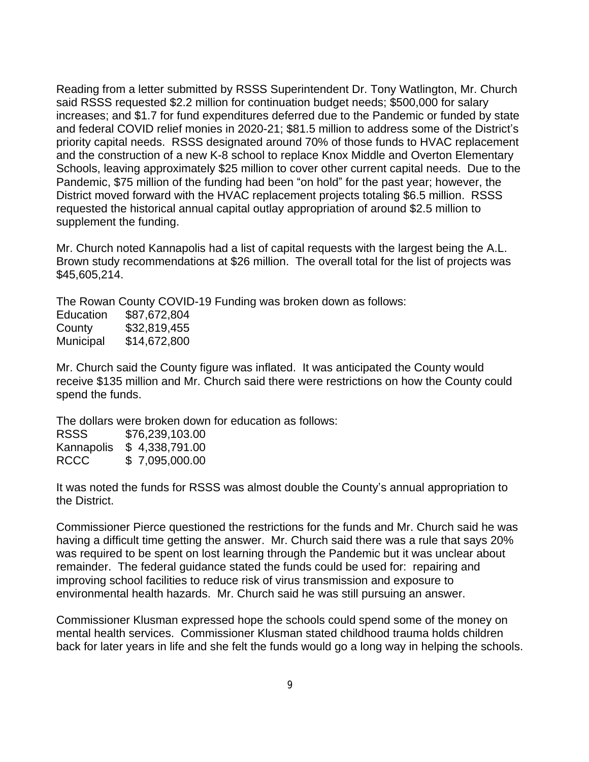Reading from a letter submitted by RSSS Superintendent Dr. Tony Watlington, Mr. Church said RSSS requested \$2.2 million for continuation budget needs; \$500,000 for salary increases; and \$1.7 for fund expenditures deferred due to the Pandemic or funded by state and federal COVID relief monies in 2020-21; \$81.5 million to address some of the District's priority capital needs. RSSS designated around 70% of those funds to HVAC replacement and the construction of a new K-8 school to replace Knox Middle and Overton Elementary Schools, leaving approximately \$25 million to cover other current capital needs. Due to the Pandemic, \$75 million of the funding had been "on hold" for the past year; however, the District moved forward with the HVAC replacement projects totaling \$6.5 million. RSSS requested the historical annual capital outlay appropriation of around \$2.5 million to supplement the funding.

Mr. Church noted Kannapolis had a list of capital requests with the largest being the A.L. Brown study recommendations at \$26 million. The overall total for the list of projects was \$45,605,214.

The Rowan County COVID-19 Funding was broken down as follows:

| Education | \$87,672,804 |
|-----------|--------------|
| County    | \$32,819,455 |
| Municipal | \$14,672,800 |

Mr. Church said the County figure was inflated. It was anticipated the County would receive \$135 million and Mr. Church said there were restrictions on how the County could spend the funds.

The dollars were broken down for education as follows:

| <b>RSSS</b> | \$76,239,103.00 |
|-------------|-----------------|
| Kannapolis  | \$4,338,791.00  |
| <b>RCCC</b> | \$7,095,000.00  |

It was noted the funds for RSSS was almost double the County's annual appropriation to the District.

Commissioner Pierce questioned the restrictions for the funds and Mr. Church said he was having a difficult time getting the answer. Mr. Church said there was a rule that says 20% was required to be spent on lost learning through the Pandemic but it was unclear about remainder. The federal guidance stated the funds could be used for: repairing and improving school facilities to reduce risk of virus transmission and exposure to environmental health hazards. Mr. Church said he was still pursuing an answer.

Commissioner Klusman expressed hope the schools could spend some of the money on mental health services. Commissioner Klusman stated childhood trauma holds children back for later years in life and she felt the funds would go a long way in helping the schools.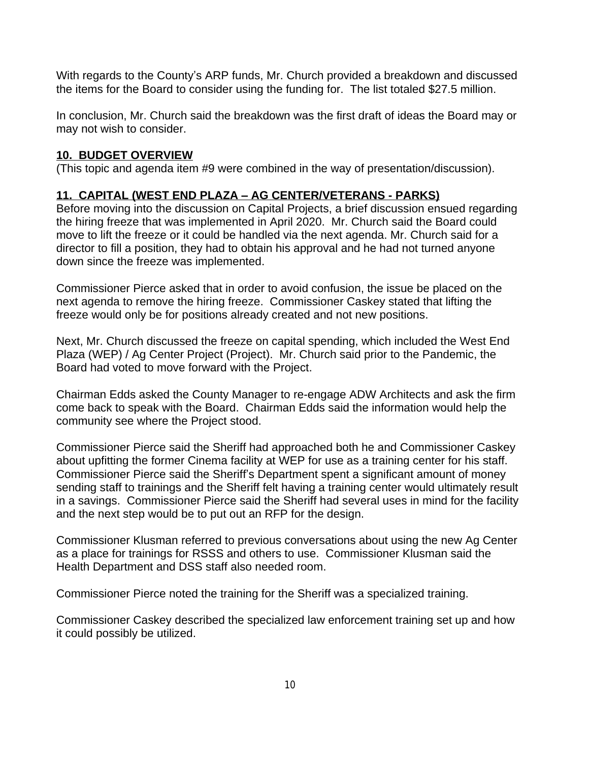With regards to the County's ARP funds, Mr. Church provided a breakdown and discussed the items for the Board to consider using the funding for. The list totaled \$27.5 million.

In conclusion, Mr. Church said the breakdown was the first draft of ideas the Board may or may not wish to consider.

## **10. BUDGET OVERVIEW**

(This topic and agenda item #9 were combined in the way of presentation/discussion).

# **11. CAPITAL (WEST END PLAZA – AG CENTER/VETERANS - PARKS)**

Before moving into the discussion on Capital Projects, a brief discussion ensued regarding the hiring freeze that was implemented in April 2020. Mr. Church said the Board could move to lift the freeze or it could be handled via the next agenda. Mr. Church said for a director to fill a position, they had to obtain his approval and he had not turned anyone down since the freeze was implemented.

Commissioner Pierce asked that in order to avoid confusion, the issue be placed on the next agenda to remove the hiring freeze. Commissioner Caskey stated that lifting the freeze would only be for positions already created and not new positions.

Next, Mr. Church discussed the freeze on capital spending, which included the West End Plaza (WEP) / Ag Center Project (Project). Mr. Church said prior to the Pandemic, the Board had voted to move forward with the Project.

Chairman Edds asked the County Manager to re-engage ADW Architects and ask the firm come back to speak with the Board. Chairman Edds said the information would help the community see where the Project stood.

Commissioner Pierce said the Sheriff had approached both he and Commissioner Caskey about upfitting the former Cinema facility at WEP for use as a training center for his staff. Commissioner Pierce said the Sheriff's Department spent a significant amount of money sending staff to trainings and the Sheriff felt having a training center would ultimately result in a savings. Commissioner Pierce said the Sheriff had several uses in mind for the facility and the next step would be to put out an RFP for the design.

Commissioner Klusman referred to previous conversations about using the new Ag Center as a place for trainings for RSSS and others to use. Commissioner Klusman said the Health Department and DSS staff also needed room.

Commissioner Pierce noted the training for the Sheriff was a specialized training.

Commissioner Caskey described the specialized law enforcement training set up and how it could possibly be utilized.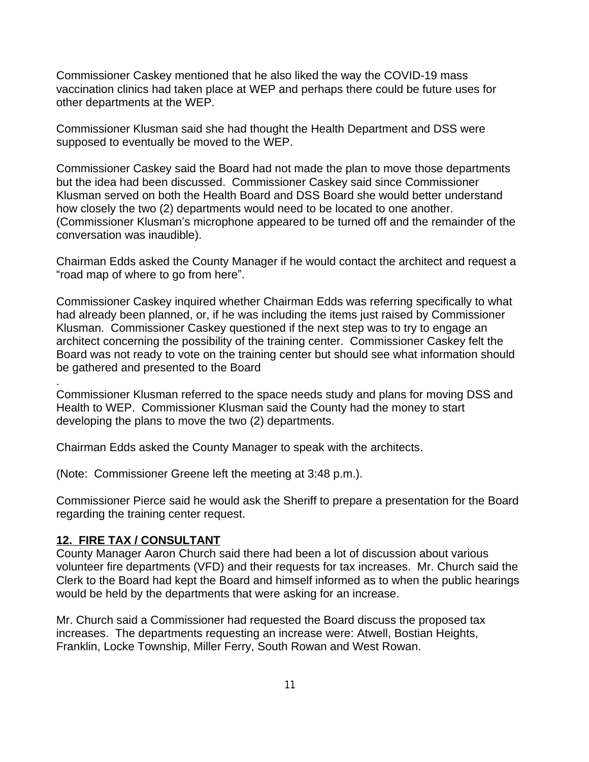Commissioner Caskey mentioned that he also liked the way the COVID-19 mass vaccination clinics had taken place at WEP and perhaps there could be future uses for other departments at the WEP.

Commissioner Klusman said she had thought the Health Department and DSS were supposed to eventually be moved to the WEP.

Commissioner Caskey said the Board had not made the plan to move those departments but the idea had been discussed. Commissioner Caskey said since Commissioner Klusman served on both the Health Board and DSS Board she would better understand how closely the two (2) departments would need to be located to one another. (Commissioner Klusman's microphone appeared to be turned off and the remainder of the conversation was inaudible).

Chairman Edds asked the County Manager if he would contact the architect and request a "road map of where to go from here".

Commissioner Caskey inquired whether Chairman Edds was referring specifically to what had already been planned, or, if he was including the items just raised by Commissioner Klusman. Commissioner Caskey questioned if the next step was to try to engage an architect concerning the possibility of the training center. Commissioner Caskey felt the Board was not ready to vote on the training center but should see what information should be gathered and presented to the Board

Commissioner Klusman referred to the space needs study and plans for moving DSS and Health to WEP. Commissioner Klusman said the County had the money to start developing the plans to move the two (2) departments.

Chairman Edds asked the County Manager to speak with the architects.

(Note: Commissioner Greene left the meeting at 3:48 p.m.).

Commissioner Pierce said he would ask the Sheriff to prepare a presentation for the Board regarding the training center request.

#### **12. FIRE TAX / CONSULTANT**

.

County Manager Aaron Church said there had been a lot of discussion about various volunteer fire departments (VFD) and their requests for tax increases. Mr. Church said the Clerk to the Board had kept the Board and himself informed as to when the public hearings would be held by the departments that were asking for an increase.

Mr. Church said a Commissioner had requested the Board discuss the proposed tax increases. The departments requesting an increase were: Atwell, Bostian Heights, Franklin, Locke Township, Miller Ferry, South Rowan and West Rowan.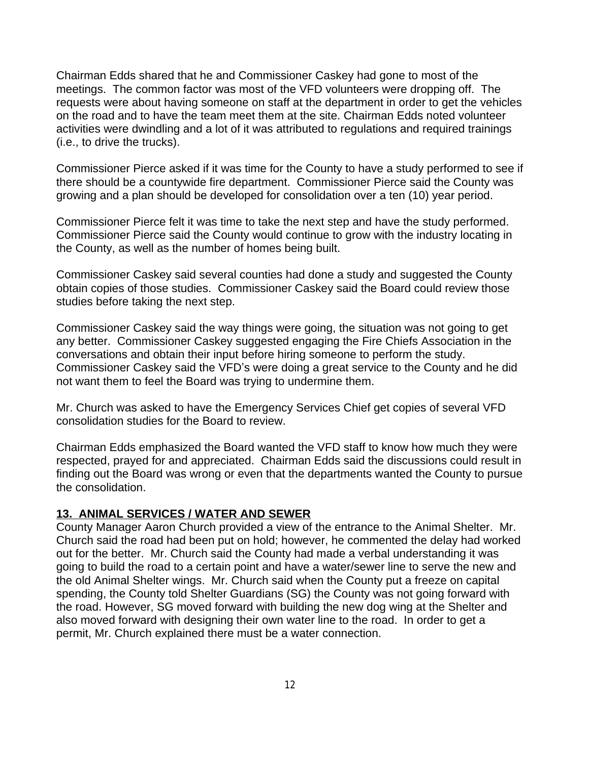Chairman Edds shared that he and Commissioner Caskey had gone to most of the meetings. The common factor was most of the VFD volunteers were dropping off. The requests were about having someone on staff at the department in order to get the vehicles on the road and to have the team meet them at the site. Chairman Edds noted volunteer activities were dwindling and a lot of it was attributed to regulations and required trainings (i.e., to drive the trucks).

Commissioner Pierce asked if it was time for the County to have a study performed to see if there should be a countywide fire department. Commissioner Pierce said the County was growing and a plan should be developed for consolidation over a ten (10) year period.

Commissioner Pierce felt it was time to take the next step and have the study performed. Commissioner Pierce said the County would continue to grow with the industry locating in the County, as well as the number of homes being built.

Commissioner Caskey said several counties had done a study and suggested the County obtain copies of those studies. Commissioner Caskey said the Board could review those studies before taking the next step.

Commissioner Caskey said the way things were going, the situation was not going to get any better. Commissioner Caskey suggested engaging the Fire Chiefs Association in the conversations and obtain their input before hiring someone to perform the study. Commissioner Caskey said the VFD's were doing a great service to the County and he did not want them to feel the Board was trying to undermine them.

Mr. Church was asked to have the Emergency Services Chief get copies of several VFD consolidation studies for the Board to review.

Chairman Edds emphasized the Board wanted the VFD staff to know how much they were respected, prayed for and appreciated. Chairman Edds said the discussions could result in finding out the Board was wrong or even that the departments wanted the County to pursue the consolidation.

### **13. ANIMAL SERVICES / WATER AND SEWER**

County Manager Aaron Church provided a view of the entrance to the Animal Shelter. Mr. Church said the road had been put on hold; however, he commented the delay had worked out for the better. Mr. Church said the County had made a verbal understanding it was going to build the road to a certain point and have a water/sewer line to serve the new and the old Animal Shelter wings. Mr. Church said when the County put a freeze on capital spending, the County told Shelter Guardians (SG) the County was not going forward with the road. However, SG moved forward with building the new dog wing at the Shelter and also moved forward with designing their own water line to the road. In order to get a permit, Mr. Church explained there must be a water connection.